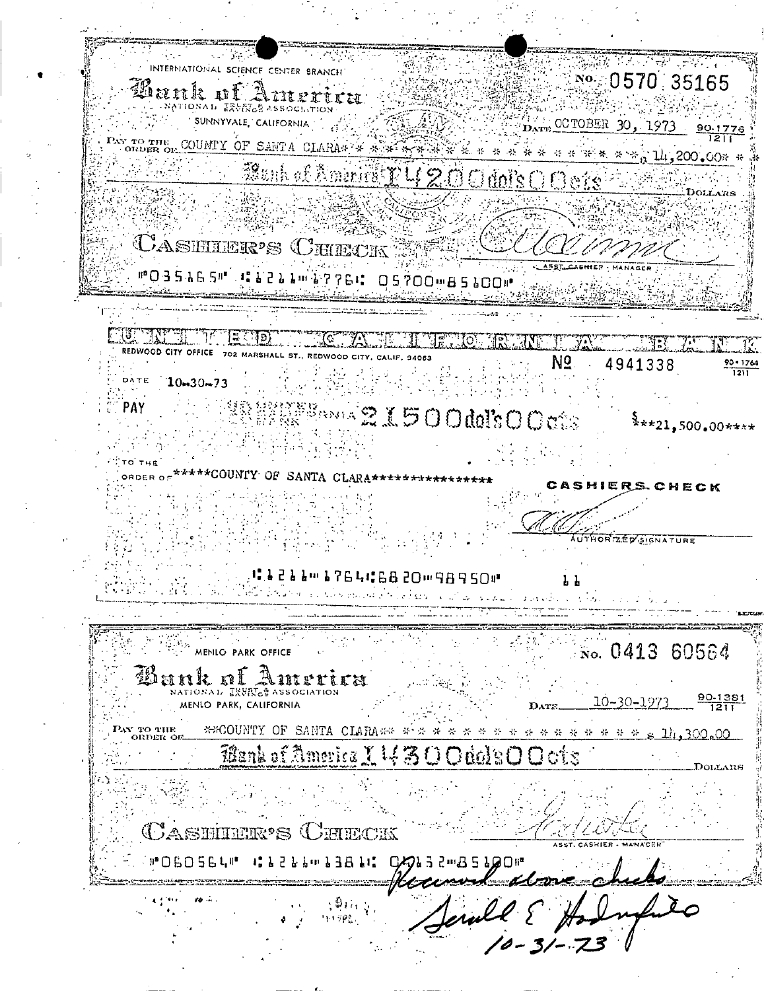$\mathcal{L} = \{ \mathcal{L}_1, \mathcal{L}_2 \}$ **脚筋 ギスティー マーマングル / INTERNATIONAL SCIENCE CENTER BRANCH** No. 0570 35165 an<br>Shekara M Bank of America **CANATIONAL ERVINGS ASSOCIATION** SUNNYVALE, CALIFORNIA  $\mathbb{Z}_{\text{Darm}}$  CCTOBER 30, 1973 90.1776 COUNTY OF SANTA CLARAN WARE REAL AND WARD TO THE 200.00% Bunk of America R 4 20 O dol's O O offe **CASHIER'S CHIECK** END AC ANTI **METHOL NET** REDWOOD CITY OFFICE 702 MARSHALL ST., REDWOOD CITY, CALIF, 94063 Nº. 4941338  $\frac{90 \cdot 1764}{1211}$ 瓣心  $\sim$  1  $^{\prime}$  . DATE '  $10 - 30 - 73$ **SERE Book 21500dol's O Cets** PAY  $\frac{5}{3}$ \*\*\*21,500.00\*\*\*\* TO THE ORDER OF\*\*\*\*\*COUNTY OF SANTA CLARA\*\*\*\*\*\*\*\*\*\*\*\*\*\*\*\* CASHIERS CHECK HORIZED SIGNATURE at a caama retires som 98950# للمستور المساكس والرويع فرجا كالأكو فكسحو والكرواء والأكاد والمكافحة المكافح  $\mathcal{O}(\mathcal{O}_\mathcal{A})$  , where  $\mathcal{O}(\mathcal{O}_\mathcal{A})$ MENILO PARK OFFICE  $\frac{1}{2}$ No. 0413 60564 Bank of America NATIONAL EXVISES ASSOCIATION 10-30-1973 MENIO PARK, CALIFORNIA DATE \*COUNTY OF SANTA CLARA## # \* \* \* \* \* \* \* \* \* \* \* \* \* \* \* 2 1h, 300.00 PAY TO THE ORDER OF Mank of America I 1430 Odol's O Octs **CASHIER'S CHECK** ASST. CASHIER - MANACEH **MOBOSSUM CL22LimL38LLCQL** 3 2mB 2 700m  $M_{\rm A}$ Terall & Hode  $\langle \Phi_{\rm H} \rangle_{\rm C}$ 161998.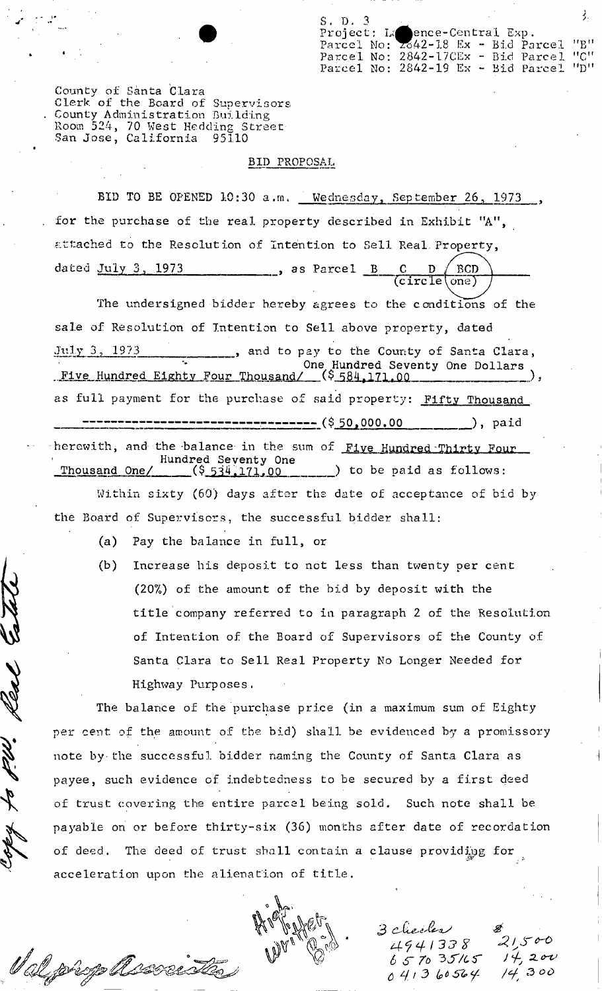S. D. 3



County of Santa Clara Clerk of the Board of Supervisors County Administration Building<br>Room 524, 70 West Hedding Street<br>San Jose, California 95110

## BID PROPOSAL

BID TO BE OPENED 10:30 a.m. Wednesday, September 26, 1973 for the purchase of the real property described in Exhibit "A", attached to the Resolution of Intention to Sell Real Property, dated July 3, 1973 **BCD** as Parcel B  $(circle(one))$ 

The undersigned bidder hereby agrees to the conditions of the sale of Resolution of Intention to Sell above property, dated July 3, 1973 ., and to pay to the County of Santa Clara, The Hundred Eighty Four Thousand/ (\$584,171.00 as full payment for the purchase of said property: Fifty Thousand ----------------------- (\$ 50,000.00  $),$  paid herewith, and the balance in the sum of Five Hundred Thirty Four Hundred Seventy One  $($ \$ $53\frac{1}{171}$ ,00  $)$  to be paid as follows: Thousand One/

Within sixty (60) days after the date of acceptance of bid by the Board of Supervisors, the successful bidder shall:

 $(a)$ Pay the balance in full, or

V al johop lasse

Increase his deposit to not less than twenty per cent  $(b)$ (20%) of the amount of the bid by deposit with the title company referred to in paragraph 2 of the Resolution of Intention of the Board of Supervisors of the County of Santa Clara to Sell Real Property No Longer Needed for Highway Purposes.

The balance of the purchase price (in a maximum sum of Eighty per cent of the amount of the bid) shall be evidenced by a promissory note by the successful bidder naming the County of Santa Clara as payee, such evidence of indebtedness to be secured by a first deed of trust covering the entire parcel being sold. Such note shall be payable on or before thirty-six (36) months after date of recordation of deed. The deed of trust shall contain a clause providing for acceleration upon the alienation of title.

3 checks 4941338  $657035/65$  $041360564$ 

 $21500$  $4,20\nu$  $300$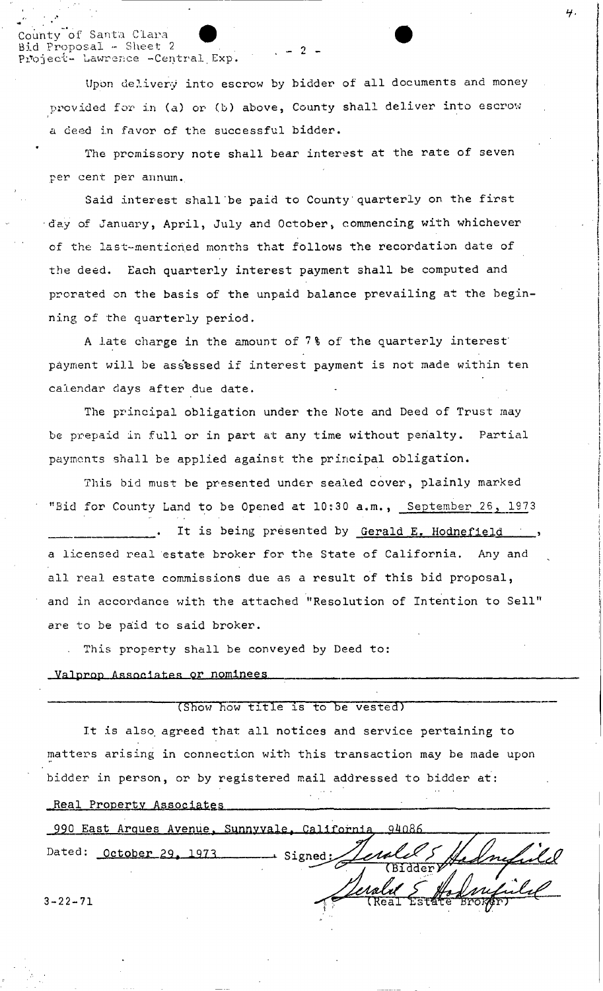nty of Santa Clara d Proposal - Sheet 2 Project- Lawrence -Central Exp.

> Upon delivery into escrow by bidder of all documents and money provided for in (a) or (b) above, County shall deliver into escrow a deed in favor of the successful bidder.

 $2$ .

The promissory note shall bear interest at the rate of seven per cent per annum.

Said interest shall be paid to County quarterly on the first day of January, April, July and October, commencing with whichever of the last-mentioned months that follows the recordation date of the deed. Each quarterly interest payment shall be computed and prorated on the basis of the unpaid balance prevailing at the beginning of the quarterly period.

A late charge in the amount of 7% of the quarterly interest payment will be assessed if interest payment is not made within ten calendar days after due date.

The principal obligation under the Note and Deed of Trust may be prepaid in full or in part at any time without penalty. Partial payments shall be applied against the principal obligation.

This bid must be presented under sealed cover, plainly marked "Bid for County Land to be Opened at 10:30 a.m., September 26, 1973 It is being presented by Gerald E. Hodnefield ... a licensed real estate broker for the State of California. Any and all real estate commissions due as a result of this bid proposal, and in accordance with the attached "Resolution of Intention to Sell" are to be paid to said broker.

. This property shall be conveyed by Deed to:

Valprop Associates or nominees

(Show how title is to be vested)

It is also agreed that all notices and service pertaining to matters arising in connection with this transaction may be made upon bidder in person, or by registered mail addressed to bidder at:

Real Property Associates

990 East Arques Avenue, Sunnyvale, California, 94086 Dated: October 29, 1973 → Signed: era  $3 - 22 - 71$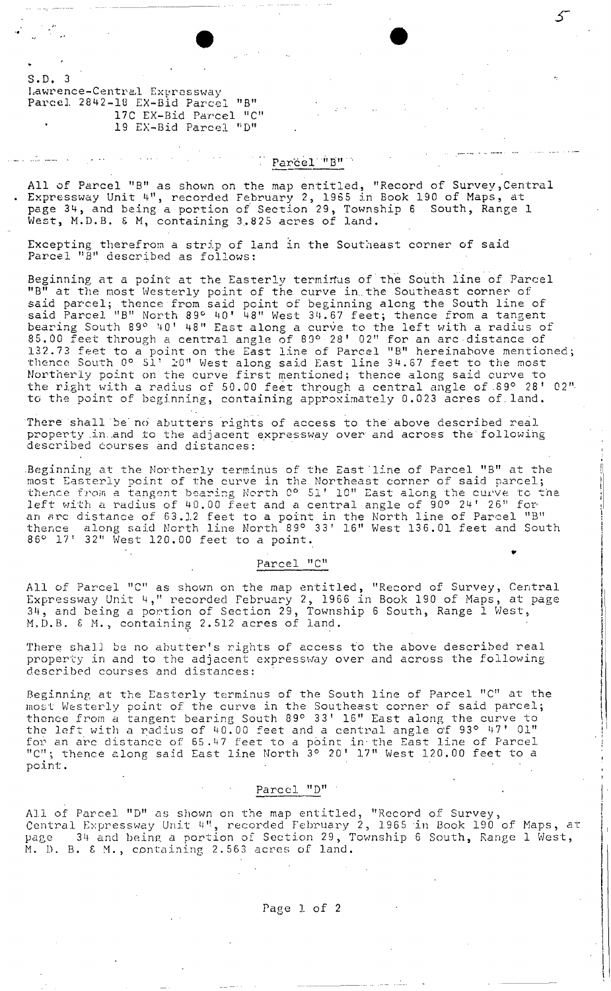S. D. 3 Lawrence-Central Expressway Parcel 2842-18 EX-Bid Parcel "B" 17C EX-Bid Parcel "C" 19 EX-Bid Parcel "D"

## Parcel "B"

All of Parcel "B" as shown on the map entitled, "Record of Survey, Central Expressway Unit 4", recorded February 2, 1965 in Book 190 of Maps, at page 34, and being a portion *of* Section 29, Township <sup>6</sup> South, Range 1 West, M.D.B. & M, containing 3.825 acres of land.

Excepting therefrom a strip of land in the Southeast corner of said Parcel "B" described as follows:

 $\bullet$   $\bullet$   $\bullet$   $\bullet$ 

Beginning at a point at the Easterly terminus of the South line of Parcel "B" at the most Ivesterly point of the curve in the Southeast corner of said parcel; thence from said point of beginning along the South line of said Parcel "B" North 89° 40' 48" West 34.67 feet; thence from a tangen<sup>.</sup> bearing South 89° 40' 48" East along a curve to the left with a radius of 85.00 feet through a central angle of 89° 28' 02" for an arc distance of 132.73 feet to a point on the East line of Parcel "B" hereinabove mentioned; thence South 0° 51'  $\mathfrak{z}$ 0" West along said East line 34.67 feet to the most Northerly point on the curve first mentioned; thence along said curve to<br>the right with a radius of 50.00 feet through a central angle of 89° 28' 02" to the point of beginning, containing approximately 0.023 acres of. land.

There shall be no abutters rights of access to the above described real property in and to the adjacent expressway over and across the following described courses and distances: .

.<br>Beginning at the Northerly terminus of the East line of Parcel "B" at the most Easterly point of the curve in the Northeast corner of said parcel;<br>thence from a tangent bearing North 0° 51' 10" East along the curve to the left with a radius of 40.00 feet and a central angle of 90° 24' 26" for an arc distance of 63.J.2 feet to a point in the North line of Parcel "B" thence along said North line North"S9° 33' 16" West 136.01 feet and South 86° 17' 32" West 120.00 feet to a point.<br>
•

t, I

I I I f! f

 $\parallel$ 

I

I  $:$ 

i I i ! I I

I

## Parcel "C"

All of Parcel "C" as shown on the map entitled, "Record of Survey, Central Expressway Unit 4," recorded February 2, 1966 in Book 190 of Maps, at page <sup>3</sup>ll, and being <sup>a</sup> portion of Section 29, Township <sup>6</sup> South, Range <sup>1</sup> West, M.D.B. & M., containing 2.512 acres of land.

There shall. be no ahutter's rights of access to the *above* described real property in and to the adjacent expressway over and across the followin described courses and distances:

Beginning at the Easterly terminus of the South line of Parcel "C" at: the most Westerly point of the curve in the Southeast corner of said parcel thence from a tangent bearing South 89° 33' 16" East along the curve to the left with a radius of 40.00 feet and a central angle of 93° 47' 01" for an arc distance of 65.47 feet to a point in the East line of Parcel "C"; thence along said East line North 3° 20' 17" West 120.00 feet to a point.

## Parcel "0"

All of Parcel "D" as shown on the map entitled, "Record of Survey Central Expressway Unit 4", recorded February 2, 1965 in Book 190 of Maps, at page 34 and being a portion of Section 29, Township 6 South, Range 1 West, M. D. B.  $\&$  M., containing 2.563 acres of land.